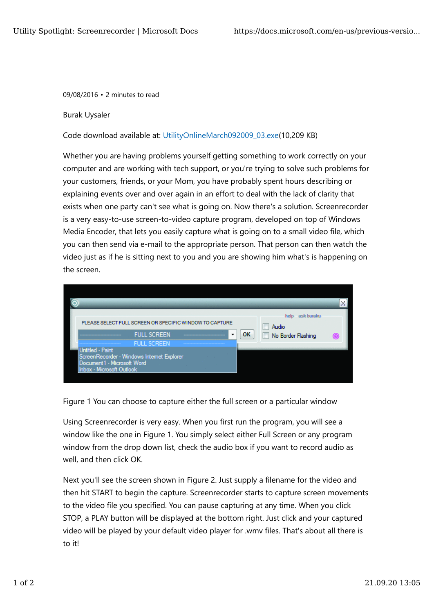09/08/2016 • 2 minutes to read

## Burak Uysaler

Code download available at: UtilityOnlineMarch092009\_03.exe(10,209 KB)

Whether you are having problems yourself getting something to work correctly on your computer and are working with tech support, or you're trying to solve such problems for your customers, friends, or your Mom, you have probably spent hours describing or explaining events over and over again in an effort to deal with the lack of clarity that exists when one party can't see what is going on. Now there's a solution. Screenrecorder is a very easy-to-use screen-to-video capture program, developed on top of Windows Media Encoder, that lets you easily capture what is going on to a small video file, which you can then send via e-mail to the appropriate person. That person can then watch the video just as if he is sitting next to you and you are showing him what's is happening on the screen.



Figure 1 You can choose to capture either the full screen or a particular window

Using Screenrecorder is very easy. When you first run the program, you will see a window like the one in Figure 1. You simply select either Full Screen or any program window from the drop down list, check the audio box if you want to record audio as well, and then click OK.

Next you'll see the screen shown in Figure 2. Just supply a filename for the video and then hit START to begin the capture. Screenrecorder starts to capture screen movements to the video file you specified. You can pause capturing at any time. When you click STOP, a PLAY button will be displayed at the bottom right. Just click and your captured video will be played by your default video player for .wmv files. That's about all there is to it!